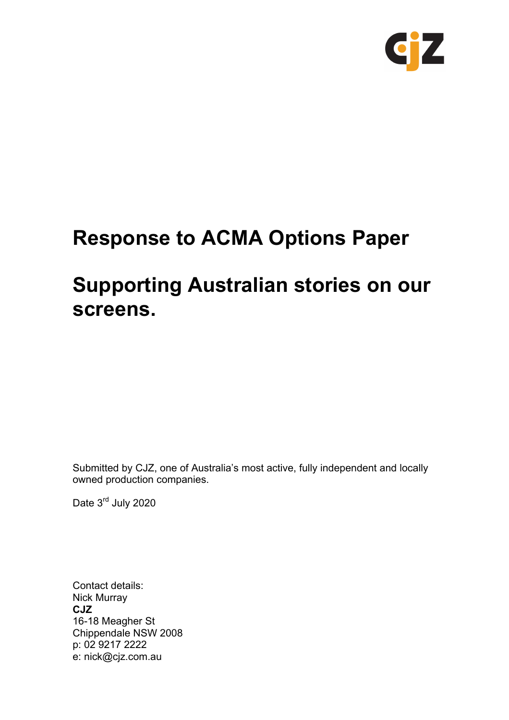

# **Response to ACMA Options Paper**

# **Supporting Australian stories on our screens.**

Submitted by CJZ, one of Australia's most active, fully independent and locally owned production companies.

Date 3<sup>rd</sup> July 2020

Contact details: Nick Murray **CJZ** 16-18 Meagher St Chippendale NSW 2008 p: 02 9217 2222 e: nick@cjz.com.au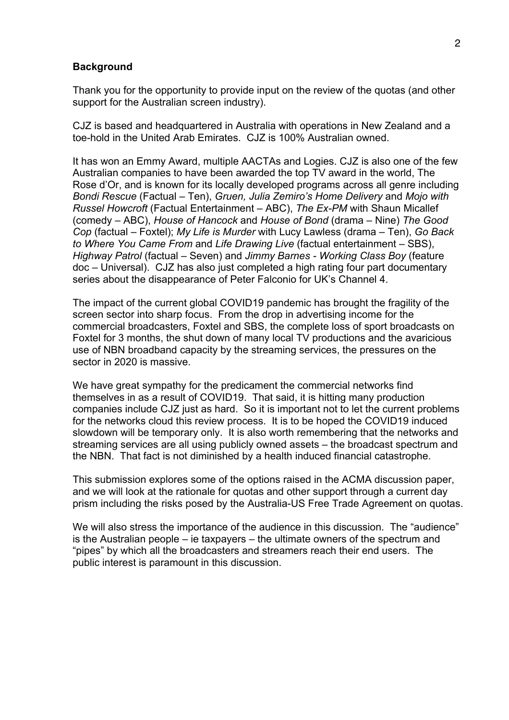#### **Background**

Thank you for the opportunity to provide input on the review of the quotas (and other support for the Australian screen industry).

CJZ is based and headquartered in Australia with operations in New Zealand and a toe-hold in the United Arab Emirates. CJZ is 100% Australian owned.

It has won an Emmy Award, multiple AACTAs and Logies. CJZ is also one of the few Australian companies to have been awarded the top TV award in the world, The Rose d'Or, and is known for its locally developed programs across all genre including *Bondi Rescue* (Factual – Ten), *Gruen, Julia Zemiro's Home Delivery* and *Mojo with Russel Howcroft* (Factual Entertainment – ABC), *The Ex-PM* with Shaun Micallef (comedy – ABC), *House of Hancock* and *House of Bond* (drama – Nine) *The Good Cop* (factual – Foxtel); *My Life is Murder* with Lucy Lawless (drama – Ten), *Go Back to Where You Came From* and *Life Drawing Live* (factual entertainment – SBS), *Highway Patrol* (factual – Seven) and *Jimmy Barnes - Working Class Boy* (feature doc – Universal). CJZ has also just completed a high rating four part documentary series about the disappearance of Peter Falconio for UK's Channel 4.

The impact of the current global COVID19 pandemic has brought the fragility of the screen sector into sharp focus. From the drop in advertising income for the commercial broadcasters, Foxtel and SBS, the complete loss of sport broadcasts on Foxtel for 3 months, the shut down of many local TV productions and the avaricious use of NBN broadband capacity by the streaming services, the pressures on the sector in 2020 is massive.

We have great sympathy for the predicament the commercial networks find themselves in as a result of COVID19. That said, it is hitting many production companies include CJZ just as hard. So it is important not to let the current problems for the networks cloud this review process. It is to be hoped the COVID19 induced slowdown will be temporary only. It is also worth remembering that the networks and streaming services are all using publicly owned assets – the broadcast spectrum and the NBN. That fact is not diminished by a health induced financial catastrophe.

This submission explores some of the options raised in the ACMA discussion paper, and we will look at the rationale for quotas and other support through a current day prism including the risks posed by the Australia-US Free Trade Agreement on quotas.

We will also stress the importance of the audience in this discussion. The "audience" is the Australian people – ie taxpayers – the ultimate owners of the spectrum and "pipes" by which all the broadcasters and streamers reach their end users. The public interest is paramount in this discussion.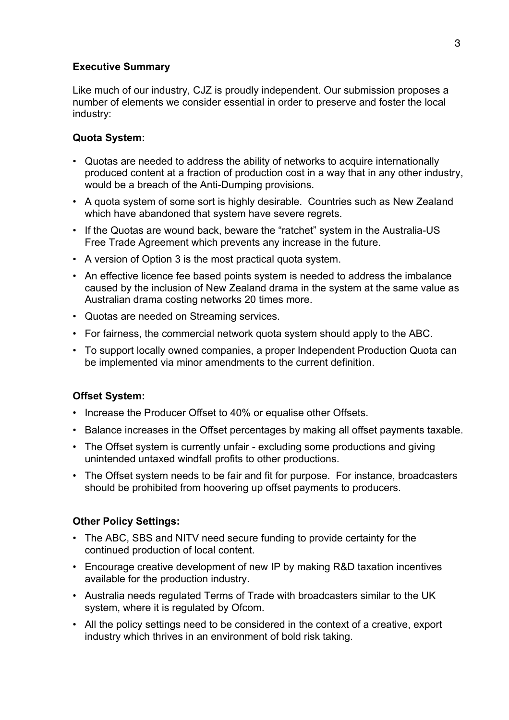# **Executive Summary**

Like much of our industry, CJZ is proudly independent. Our submission proposes a number of elements we consider essential in order to preserve and foster the local industry:

# **Quota System:**

- Quotas are needed to address the ability of networks to acquire internationally produced content at a fraction of production cost in a way that in any other industry, would be a breach of the Anti-Dumping provisions.
- A quota system of some sort is highly desirable. Countries such as New Zealand which have abandoned that system have severe regrets.
- If the Quotas are wound back, beware the "ratchet" system in the Australia-US Free Trade Agreement which prevents any increase in the future.
- A version of Option 3 is the most practical quota system.
- An effective licence fee based points system is needed to address the imbalance caused by the inclusion of New Zealand drama in the system at the same value as Australian drama costing networks 20 times more.
- Quotas are needed on Streaming services.
- For fairness, the commercial network quota system should apply to the ABC.
- To support locally owned companies, a proper Independent Production Quota can be implemented via minor amendments to the current definition.

# **Offset System:**

- Increase the Producer Offset to 40% or equalise other Offsets.
- Balance increases in the Offset percentages by making all offset payments taxable.
- The Offset system is currently unfair excluding some productions and giving unintended untaxed windfall profits to other productions.
- The Offset system needs to be fair and fit for purpose. For instance, broadcasters should be prohibited from hoovering up offset payments to producers.

# **Other Policy Settings:**

- The ABC, SBS and NITV need secure funding to provide certainty for the continued production of local content.
- Encourage creative development of new IP by making R&D taxation incentives available for the production industry.
- Australia needs regulated Terms of Trade with broadcasters similar to the UK system, where it is regulated by Ofcom.
- All the policy settings need to be considered in the context of a creative, export industry which thrives in an environment of bold risk taking.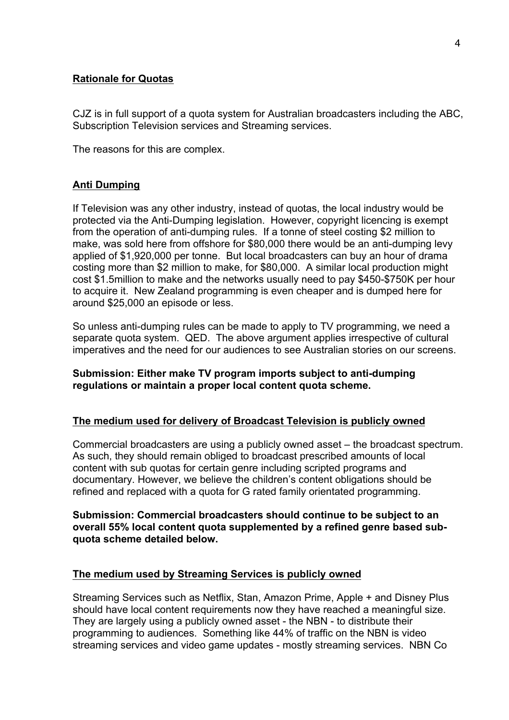# **Rationale for Quotas**

CJZ is in full support of a quota system for Australian broadcasters including the ABC, Subscription Television services and Streaming services.

The reasons for this are complex.

# **Anti Dumping**

If Television was any other industry, instead of quotas, the local industry would be protected via the Anti-Dumping legislation. However, copyright licencing is exempt from the operation of anti-dumping rules. If a tonne of steel costing \$2 million to make, was sold here from offshore for \$80,000 there would be an anti-dumping levy applied of \$1,920,000 per tonne. But local broadcasters can buy an hour of drama costing more than \$2 million to make, for \$80,000. A similar local production might cost \$1.5million to make and the networks usually need to pay \$450-\$750K per hour to acquire it. New Zealand programming is even cheaper and is dumped here for around \$25,000 an episode or less.

So unless anti-dumping rules can be made to apply to TV programming, we need a separate quota system. QED. The above argument applies irrespective of cultural imperatives and the need for our audiences to see Australian stories on our screens.

# **Submission: Either make TV program imports subject to anti-dumping regulations or maintain a proper local content quota scheme.**

# **The medium used for delivery of Broadcast Television is publicly owned**

Commercial broadcasters are using a publicly owned asset – the broadcast spectrum. As such, they should remain obliged to broadcast prescribed amounts of local content with sub quotas for certain genre including scripted programs and documentary. However, we believe the children's content obligations should be refined and replaced with a quota for G rated family orientated programming.

### **Submission: Commercial broadcasters should continue to be subject to an overall 55% local content quota supplemented by a refined genre based subquota scheme detailed below.**

# **The medium used by Streaming Services is publicly owned**

Streaming Services such as Netflix, Stan, Amazon Prime, Apple + and Disney Plus should have local content requirements now they have reached a meaningful size. They are largely using a publicly owned asset - the NBN - to distribute their programming to audiences. Something like 44% of traffic on the NBN is video streaming services and video game updates - mostly streaming services. NBN Co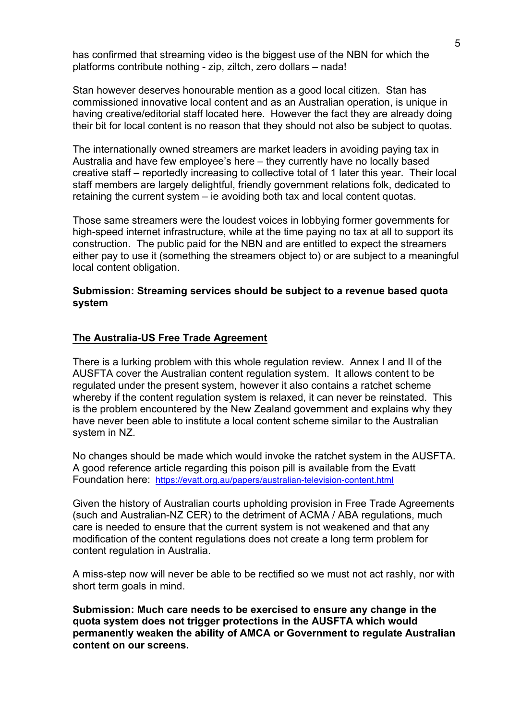has confirmed that streaming video is the biggest use of the NBN for which the platforms contribute nothing - zip, ziltch, zero dollars – nada!

Stan however deserves honourable mention as a good local citizen. Stan has commissioned innovative local content and as an Australian operation, is unique in having creative/editorial staff located here. However the fact they are already doing their bit for local content is no reason that they should not also be subject to quotas.

The internationally owned streamers are market leaders in avoiding paying tax in Australia and have few employee's here – they currently have no locally based creative staff – reportedly increasing to collective total of 1 later this year. Their local staff members are largely delightful, friendly government relations folk, dedicated to retaining the current system – ie avoiding both tax and local content quotas.

Those same streamers were the loudest voices in lobbying former governments for high-speed internet infrastructure, while at the time paying no tax at all to support its construction. The public paid for the NBN and are entitled to expect the streamers either pay to use it (something the streamers object to) or are subject to a meaningful local content obligation.

# **Submission: Streaming services should be subject to a revenue based quota system**

# **The Australia-US Free Trade Agreement**

There is a lurking problem with this whole regulation review. Annex I and II of the AUSFTA cover the Australian content regulation system. It allows content to be regulated under the present system, however it also contains a ratchet scheme whereby if the content regulation system is relaxed, it can never be reinstated. This is the problem encountered by the New Zealand government and explains why they have never been able to institute a local content scheme similar to the Australian system in NZ.

No changes should be made which would invoke the ratchet system in the AUSFTA. A good reference article regarding this poison pill is available from the Evatt Foundation here: https://evatt.org.au/papers/australian-television-content.html

Given the history of Australian courts upholding provision in Free Trade Agreements (such and Australian-NZ CER) to the detriment of ACMA / ABA regulations, much care is needed to ensure that the current system is not weakened and that any modification of the content regulations does not create a long term problem for content regulation in Australia.

A miss-step now will never be able to be rectified so we must not act rashly, nor with short term goals in mind.

**Submission: Much care needs to be exercised to ensure any change in the quota system does not trigger protections in the AUSFTA which would permanently weaken the ability of AMCA or Government to regulate Australian content on our screens.**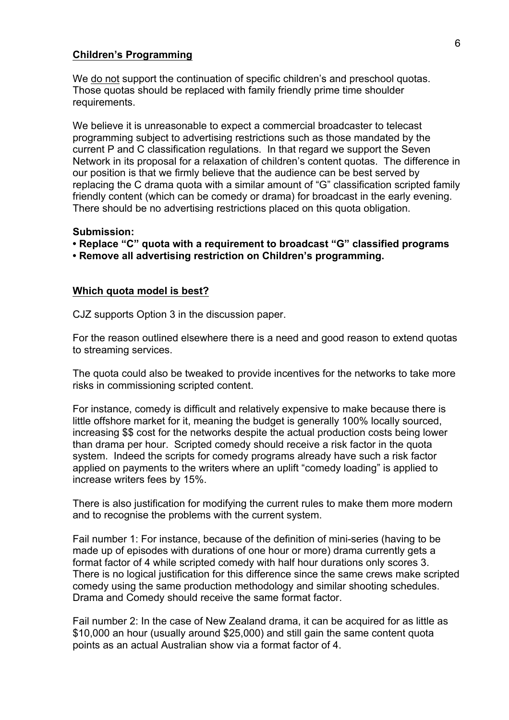#### **Children's Programming**

We do not support the continuation of specific children's and preschool quotas. Those quotas should be replaced with family friendly prime time shoulder requirements.

We believe it is unreasonable to expect a commercial broadcaster to telecast programming subject to advertising restrictions such as those mandated by the current P and C classification regulations. In that regard we support the Seven Network in its proposal for a relaxation of children's content quotas. The difference in our position is that we firmly believe that the audience can be best served by replacing the C drama quota with a similar amount of "G" classification scripted family friendly content (which can be comedy or drama) for broadcast in the early evening. There should be no advertising restrictions placed on this quota obligation.

### **Submission:**

- **Replace "C" quota with a requirement to broadcast "G" classified programs**
- **Remove all advertising restriction on Children's programming.**

#### **Which quota model is best?**

CJZ supports Option 3 in the discussion paper.

For the reason outlined elsewhere there is a need and good reason to extend quotas to streaming services.

The quota could also be tweaked to provide incentives for the networks to take more risks in commissioning scripted content.

For instance, comedy is difficult and relatively expensive to make because there is little offshore market for it, meaning the budget is generally 100% locally sourced, increasing \$\$ cost for the networks despite the actual production costs being lower than drama per hour. Scripted comedy should receive a risk factor in the quota system. Indeed the scripts for comedy programs already have such a risk factor applied on payments to the writers where an uplift "comedy loading" is applied to increase writers fees by 15%.

There is also justification for modifying the current rules to make them more modern and to recognise the problems with the current system.

Fail number 1: For instance, because of the definition of mini-series (having to be made up of episodes with durations of one hour or more) drama currently gets a format factor of 4 while scripted comedy with half hour durations only scores 3. There is no logical justification for this difference since the same crews make scripted comedy using the same production methodology and similar shooting schedules. Drama and Comedy should receive the same format factor.

Fail number 2: In the case of New Zealand drama, it can be acquired for as little as \$10,000 an hour (usually around \$25,000) and still gain the same content quota points as an actual Australian show via a format factor of 4.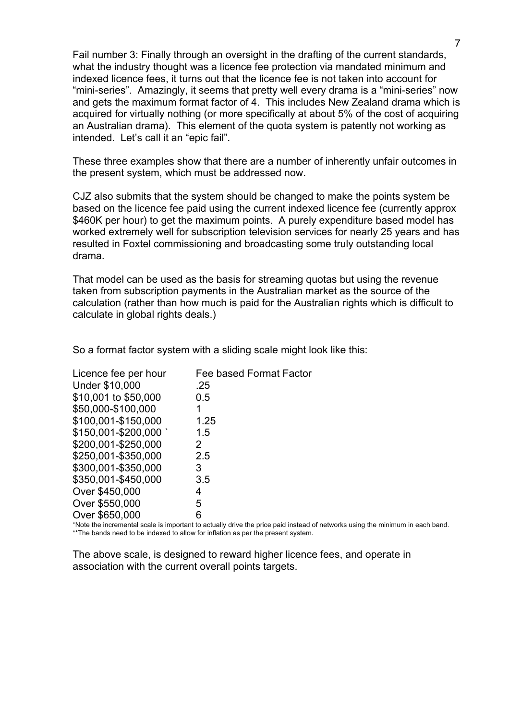Fail number 3: Finally through an oversight in the drafting of the current standards, what the industry thought was a licence fee protection via mandated minimum and indexed licence fees, it turns out that the licence fee is not taken into account for "mini-series". Amazingly, it seems that pretty well every drama is a "mini-series" now and gets the maximum format factor of 4. This includes New Zealand drama which is acquired for virtually nothing (or more specifically at about 5% of the cost of acquiring an Australian drama). This element of the quota system is patently not working as intended. Let's call it an "epic fail".

These three examples show that there are a number of inherently unfair outcomes in the present system, which must be addressed now.

CJZ also submits that the system should be changed to make the points system be based on the licence fee paid using the current indexed licence fee (currently approx \$460K per hour) to get the maximum points. A purely expenditure based model has worked extremely well for subscription television services for nearly 25 years and has resulted in Foxtel commissioning and broadcasting some truly outstanding local drama.

That model can be used as the basis for streaming quotas but using the revenue taken from subscription payments in the Australian market as the source of the calculation (rather than how much is paid for the Australian rights which is difficult to calculate in global rights deals.)

So a format factor system with a sliding scale might look like this:

| Licence fee per hour  | Fee based Format Factor |
|-----------------------|-------------------------|
| <b>Under \$10,000</b> | .25                     |
| \$10,001 to \$50,000  | 0.5                     |
| \$50,000-\$100,000    |                         |
| \$100,001-\$150,000   | 1.25                    |
| \$150,001-\$200,000   | 1.5                     |
| \$200,001-\$250,000   | 2                       |
| \$250,001-\$350,000   | 2.5                     |
| \$300,001-\$350,000   | 3                       |
| \$350,001-\$450,000   | 3.5                     |
| Over \$450,000        | 4                       |
| Over \$550,000        | 5                       |
| Over \$650,000        |                         |

\*Note the incremental scale is important to actually drive the price paid instead of networks using the minimum in each band. \*\*The bands need to be indexed to allow for inflation as per the present system.

The above scale, is designed to reward higher licence fees, and operate in association with the current overall points targets.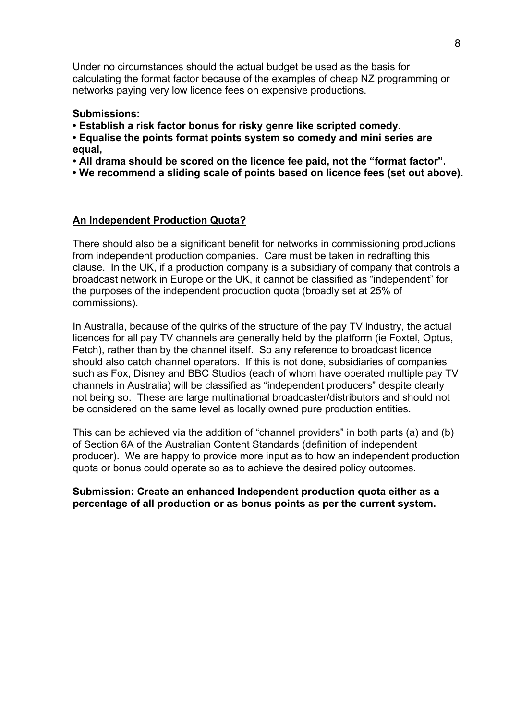Under no circumstances should the actual budget be used as the basis for calculating the format factor because of the examples of cheap NZ programming or networks paying very low licence fees on expensive productions.

### **Submissions:**

**• Establish a risk factor bonus for risky genre like scripted comedy.**

- **Equalise the points format points system so comedy and mini series are equal,**
- **All drama should be scored on the licence fee paid, not the "format factor".**
- **We recommend a sliding scale of points based on licence fees (set out above).**

# **An Independent Production Quota?**

There should also be a significant benefit for networks in commissioning productions from independent production companies. Care must be taken in redrafting this clause. In the UK, if a production company is a subsidiary of company that controls a broadcast network in Europe or the UK, it cannot be classified as "independent" for the purposes of the independent production quota (broadly set at 25% of commissions).

In Australia, because of the quirks of the structure of the pay TV industry, the actual licences for all pay TV channels are generally held by the platform (ie Foxtel, Optus, Fetch), rather than by the channel itself. So any reference to broadcast licence should also catch channel operators. If this is not done, subsidiaries of companies such as Fox, Disney and BBC Studios (each of whom have operated multiple pay TV channels in Australia) will be classified as "independent producers" despite clearly not being so. These are large multinational broadcaster/distributors and should not be considered on the same level as locally owned pure production entities.

This can be achieved via the addition of "channel providers" in both parts (a) and (b) of Section 6A of the Australian Content Standards (definition of independent producer). We are happy to provide more input as to how an independent production quota or bonus could operate so as to achieve the desired policy outcomes.

# **Submission: Create an enhanced Independent production quota either as a percentage of all production or as bonus points as per the current system.**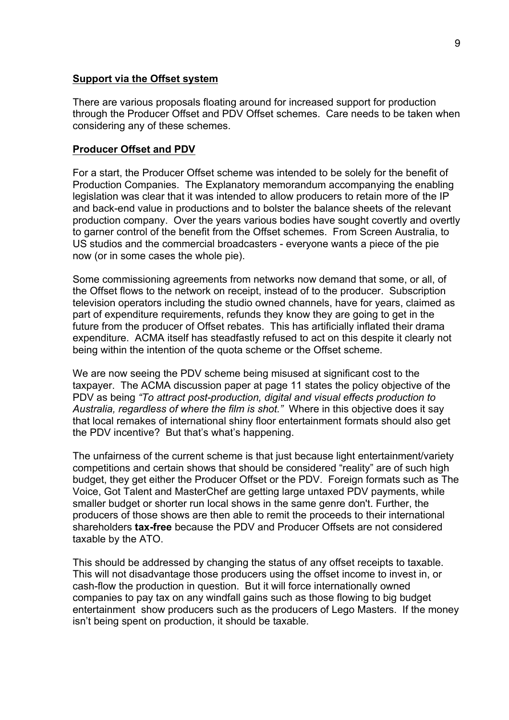#### **Support via the Offset system**

There are various proposals floating around for increased support for production through the Producer Offset and PDV Offset schemes. Care needs to be taken when considering any of these schemes.

### **Producer Offset and PDV**

For a start, the Producer Offset scheme was intended to be solely for the benefit of Production Companies. The Explanatory memorandum accompanying the enabling legislation was clear that it was intended to allow producers to retain more of the IP and back-end value in productions and to bolster the balance sheets of the relevant production company. Over the years various bodies have sought covertly and overtly to garner control of the benefit from the Offset schemes. From Screen Australia, to US studios and the commercial broadcasters - everyone wants a piece of the pie now (or in some cases the whole pie).

Some commissioning agreements from networks now demand that some, or all, of the Offset flows to the network on receipt, instead of to the producer. Subscription television operators including the studio owned channels, have for years, claimed as part of expenditure requirements, refunds they know they are going to get in the future from the producer of Offset rebates. This has artificially inflated their drama expenditure. ACMA itself has steadfastly refused to act on this despite it clearly not being within the intention of the quota scheme or the Offset scheme.

We are now seeing the PDV scheme being misused at significant cost to the taxpayer. The ACMA discussion paper at page 11 states the policy objective of the PDV as being *"To attract post-production, digital and visual effects production to Australia, regardless of where the film is shot."* Where in this objective does it say that local remakes of international shiny floor entertainment formats should also get the PDV incentive? But that's what's happening.

The unfairness of the current scheme is that just because light entertainment/variety competitions and certain shows that should be considered "reality" are of such high budget, they get either the Producer Offset or the PDV. Foreign formats such as The Voice, Got Talent and MasterChef are getting large untaxed PDV payments, while smaller budget or shorter run local shows in the same genre don't. Further, the producers of those shows are then able to remit the proceeds to their international shareholders **tax-free** because the PDV and Producer Offsets are not considered taxable by the ATO.

This should be addressed by changing the status of any offset receipts to taxable. This will not disadvantage those producers using the offset income to invest in, or cash-flow the production in question. But it will force internationally owned companies to pay tax on any windfall gains such as those flowing to big budget entertainment show producers such as the producers of Lego Masters. If the money isn't being spent on production, it should be taxable.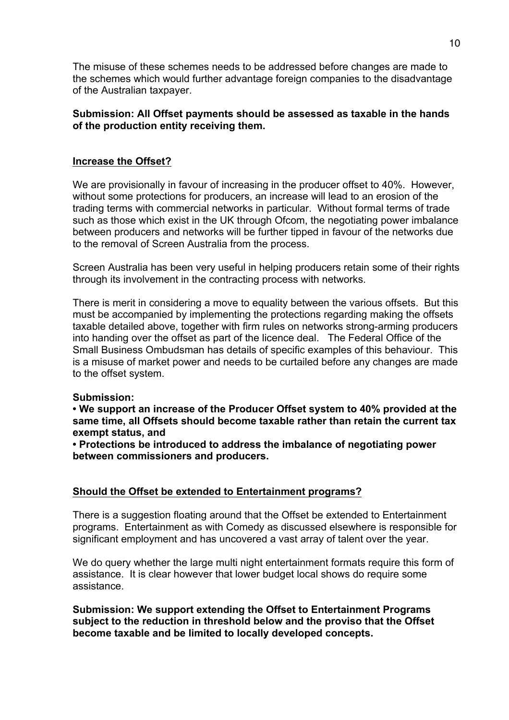The misuse of these schemes needs to be addressed before changes are made to the schemes which would further advantage foreign companies to the disadvantage of the Australian taxpayer.

# **Submission: All Offset payments should be assessed as taxable in the hands of the production entity receiving them.**

# **Increase the Offset?**

We are provisionally in favour of increasing in the producer offset to 40%. However, without some protections for producers, an increase will lead to an erosion of the trading terms with commercial networks in particular. Without formal terms of trade such as those which exist in the UK through Ofcom, the negotiating power imbalance between producers and networks will be further tipped in favour of the networks due to the removal of Screen Australia from the process.

Screen Australia has been very useful in helping producers retain some of their rights through its involvement in the contracting process with networks.

There is merit in considering a move to equality between the various offsets. But this must be accompanied by implementing the protections regarding making the offsets taxable detailed above, together with firm rules on networks strong-arming producers into handing over the offset as part of the licence deal. The Federal Office of the Small Business Ombudsman has details of specific examples of this behaviour. This is a misuse of market power and needs to be curtailed before any changes are made to the offset system.

# **Submission:**

**• We support an increase of the Producer Offset system to 40% provided at the same time, all Offsets should become taxable rather than retain the current tax exempt status, and**

**• Protections be introduced to address the imbalance of negotiating power between commissioners and producers.**

# **Should the Offset be extended to Entertainment programs?**

There is a suggestion floating around that the Offset be extended to Entertainment programs. Entertainment as with Comedy as discussed elsewhere is responsible for significant employment and has uncovered a vast array of talent over the year.

We do query whether the large multi night entertainment formats require this form of assistance. It is clear however that lower budget local shows do require some assistance.

**Submission: We support extending the Offset to Entertainment Programs subject to the reduction in threshold below and the proviso that the Offset become taxable and be limited to locally developed concepts.**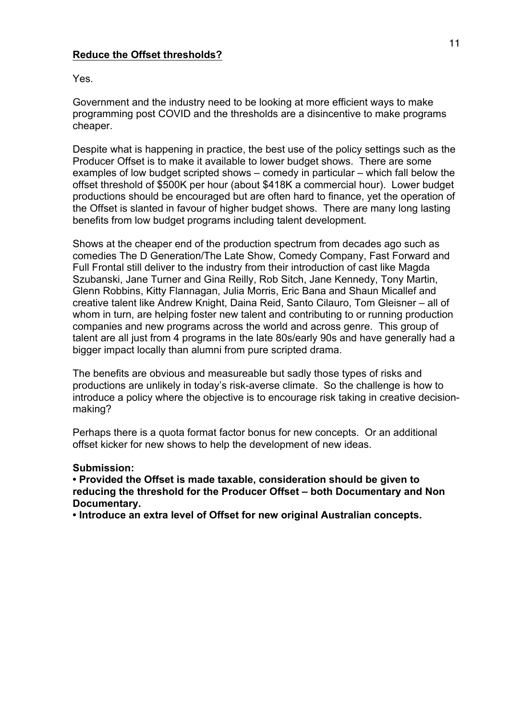#### **Reduce the Offset thresholds?**

### Yes.

Government and the industry need to be looking at more efficient ways to make programming post COVID and the thresholds are a disincentive to make programs cheaper.

Despite what is happening in practice, the best use of the policy settings such as the Producer Offset is to make it available to lower budget shows. There are some examples of low budget scripted shows – comedy in particular – which fall below the offset threshold of \$500K per hour (about \$418K a commercial hour). Lower budget productions should be encouraged but are often hard to finance, yet the operation of the Offset is slanted in favour of higher budget shows. There are many long lasting benefits from low budget programs including talent development.

Shows at the cheaper end of the production spectrum from decades ago such as comedies The D Generation/The Late Show, Comedy Company, Fast Forward and Full Frontal still deliver to the industry from their introduction of cast like Magda Szubanski, Jane Turner and Gina Reilly, Rob Sitch, Jane Kennedy, Tony Martin, Glenn Robbins, Kitty Flannagan, Julia Morris, Eric Bana and Shaun Micallef and creative talent like Andrew Knight, Daina Reid, Santo Cilauro, Tom Gleisner – all of whom in turn, are helping foster new talent and contributing to or running production companies and new programs across the world and across genre. This group of talent are all just from 4 programs in the late 80s/early 90s and have generally had a bigger impact locally than alumni from pure scripted drama.

The benefits are obvious and measureable but sadly those types of risks and productions are unlikely in today's risk-averse climate. So the challenge is how to introduce a policy where the objective is to encourage risk taking in creative decisionmaking?

Perhaps there is a quota format factor bonus for new concepts. Or an additional offset kicker for new shows to help the development of new ideas.

#### **Submission:**

**• Provided the Offset is made taxable, consideration should be given to reducing the threshold for the Producer Offset – both Documentary and Non Documentary.** 

**• Introduce an extra level of Offset for new original Australian concepts.**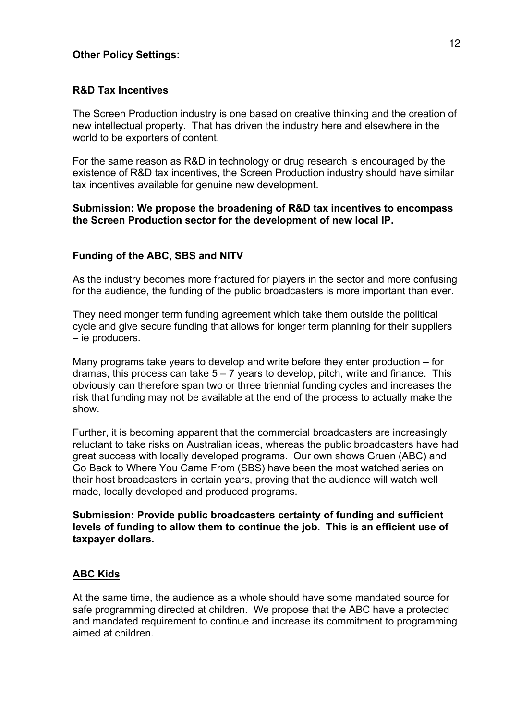# **Other Policy Settings:**

# **R&D Tax Incentives**

The Screen Production industry is one based on creative thinking and the creation of new intellectual property. That has driven the industry here and elsewhere in the world to be exporters of content.

For the same reason as R&D in technology or drug research is encouraged by the existence of R&D tax incentives, the Screen Production industry should have similar tax incentives available for genuine new development.

# **Submission: We propose the broadening of R&D tax incentives to encompass the Screen Production sector for the development of new local IP.**

# **Funding of the ABC, SBS and NITV**

As the industry becomes more fractured for players in the sector and more confusing for the audience, the funding of the public broadcasters is more important than ever.

They need monger term funding agreement which take them outside the political cycle and give secure funding that allows for longer term planning for their suppliers – ie producers.

Many programs take years to develop and write before they enter production – for dramas, this process can take  $5 - 7$  years to develop, pitch, write and finance. This obviously can therefore span two or three triennial funding cycles and increases the risk that funding may not be available at the end of the process to actually make the show.

Further, it is becoming apparent that the commercial broadcasters are increasingly reluctant to take risks on Australian ideas, whereas the public broadcasters have had great success with locally developed programs. Our own shows Gruen (ABC) and Go Back to Where You Came From (SBS) have been the most watched series on their host broadcasters in certain years, proving that the audience will watch well made, locally developed and produced programs.

**Submission: Provide public broadcasters certainty of funding and sufficient levels of funding to allow them to continue the job. This is an efficient use of taxpayer dollars.**

# **ABC Kids**

At the same time, the audience as a whole should have some mandated source for safe programming directed at children. We propose that the ABC have a protected and mandated requirement to continue and increase its commitment to programming aimed at children.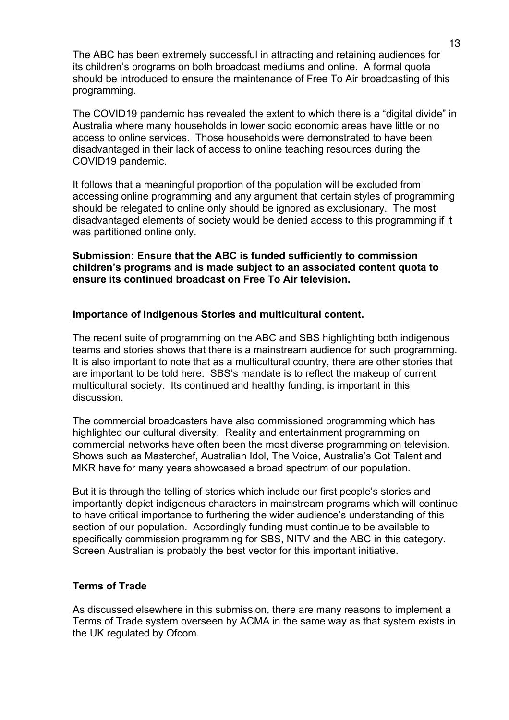The ABC has been extremely successful in attracting and retaining audiences for its children's programs on both broadcast mediums and online. A formal quota should be introduced to ensure the maintenance of Free To Air broadcasting of this programming.

The COVID19 pandemic has revealed the extent to which there is a "digital divide" in Australia where many households in lower socio economic areas have little or no access to online services. Those households were demonstrated to have been disadvantaged in their lack of access to online teaching resources during the COVID19 pandemic.

It follows that a meaningful proportion of the population will be excluded from accessing online programming and any argument that certain styles of programming should be relegated to online only should be ignored as exclusionary. The most disadvantaged elements of society would be denied access to this programming if it was partitioned online only.

**Submission: Ensure that the ABC is funded sufficiently to commission children's programs and is made subject to an associated content quota to ensure its continued broadcast on Free To Air television.**

# **Importance of Indigenous Stories and multicultural content.**

The recent suite of programming on the ABC and SBS highlighting both indigenous teams and stories shows that there is a mainstream audience for such programming. It is also important to note that as a multicultural country, there are other stories that are important to be told here. SBS's mandate is to reflect the makeup of current multicultural society. Its continued and healthy funding, is important in this discussion.

The commercial broadcasters have also commissioned programming which has highlighted our cultural diversity. Reality and entertainment programming on commercial networks have often been the most diverse programming on television. Shows such as Masterchef, Australian Idol, The Voice, Australia's Got Talent and MKR have for many years showcased a broad spectrum of our population.

But it is through the telling of stories which include our first people's stories and importantly depict indigenous characters in mainstream programs which will continue to have critical importance to furthering the wider audience's understanding of this section of our population. Accordingly funding must continue to be available to specifically commission programming for SBS, NITV and the ABC in this category. Screen Australian is probably the best vector for this important initiative.

# **Terms of Trade**

As discussed elsewhere in this submission, there are many reasons to implement a Terms of Trade system overseen by ACMA in the same way as that system exists in the UK regulated by Ofcom.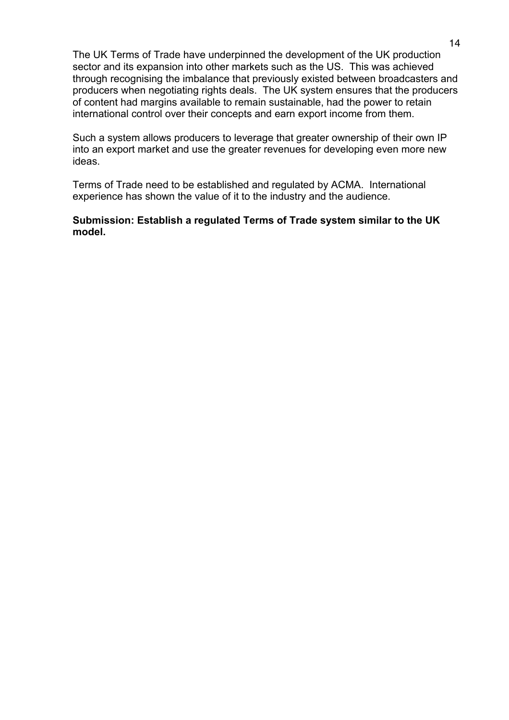The UK Terms of Trade have underpinned the development of the UK production sector and its expansion into other markets such as the US. This was achieved through recognising the imbalance that previously existed between broadcasters and producers when negotiating rights deals. The UK system ensures that the producers of content had margins available to remain sustainable, had the power to retain international control over their concepts and earn export income from them.

Such a system allows producers to leverage that greater ownership of their own IP into an export market and use the greater revenues for developing even more new ideas.

Terms of Trade need to be established and regulated by ACMA. International experience has shown the value of it to the industry and the audience.

#### **Submission: Establish a regulated Terms of Trade system similar to the UK model.**